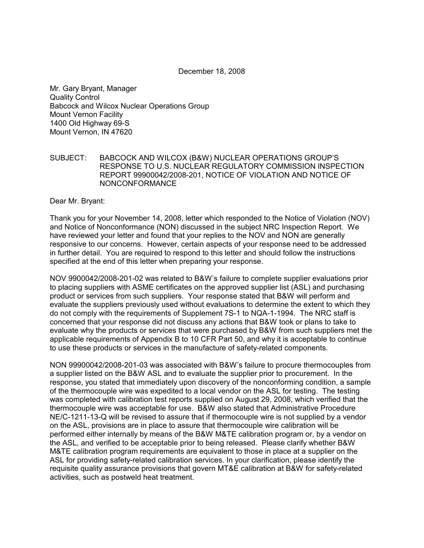December 18, 2008

Mr. Gary Bryant, Manager Quality Control Babcock and Wilcox Nuclear Operations Group Mount Vernon Facility 1400 Old Highway 69-S Mount Vernon, IN 47620

## SUBJECT: BABCOCK AND WILCOX (B&W) NUCLEAR OPERATIONS GROUP'S RESPONSE TO U.S. NUCLEAR REGULATORY COMMISSION INSPECTION REPORT 99900042/2008-201, NOTICE OF VIOLATION AND NOTICE OF NONCONFORMANCE

Dear Mr. Bryant:

Thank you for your November 14, 2008, letter which responded to the Notice of Violation (NOV) and Notice of Nonconformance (NON) discussed in the subject NRC Inspection Report. We have reviewed your letter and found that your replies to the NOV and NON are generally responsive to our concerns. However, certain aspects of your response need to be addressed in further detail. You are required to respond to this letter and should follow the instructions specified at the end of this letter when preparing your response.

NOV 9900042/2008-201-02 was related to B&W's failure to complete supplier evaluations prior to placing suppliers with ASME certificates on the approved supplier list (ASL) and purchasing product or services from such suppliers. Your response stated that B&W will perform and evaluate the suppliers previously used without evaluations to determine the extent to which they do not comply with the requirements of Supplement 7S-1 to NQA-1-1994. The NRC staff is concerned that your response did not discuss any actions that B&W took or plans to take to evaluate why the products or services that were purchased by B&W from such suppliers met the applicable requirements of Appendix B to 10 CFR Part 50, and why it is acceptable to continue to use these products or services in the manufacture of safety-related components.

NON 99900042/2008-201-03 was associated with B&W's failure to procure thermocouples from a supplier listed on the B&W ASL and to evaluate the supplier prior to procurement. In the response, you stated that immediately upon discovery of the nonconforming condition, a sample of the thermocouple wire was expedited to a local vendor on the ASL for testing. The testing was completed with calibration test reports supplied on August 29, 2008, which verified that the thermocouple wire was acceptable for use. B&W also stated that Administrative Procedure NE/C-1211-13-Q will be revised to assure that if thermocouple wire is not supplied by a vendor on the ASL, provisions are in place to assure that thermocouple wire calibration will be performed either internally by means of the B&W M&TE calibration program or, by a vendor on the ASL, and verified to be acceptable prior to being released. Please clarify whether B&W M&TE calibration program requirements are equivalent to those in place at a supplier on the ASL for providing safety-related calibration services. In your clarification, please identify the requisite quality assurance provisions that govern MT&E calibration at B&W for safety-related activities, such as postweld heat treatment.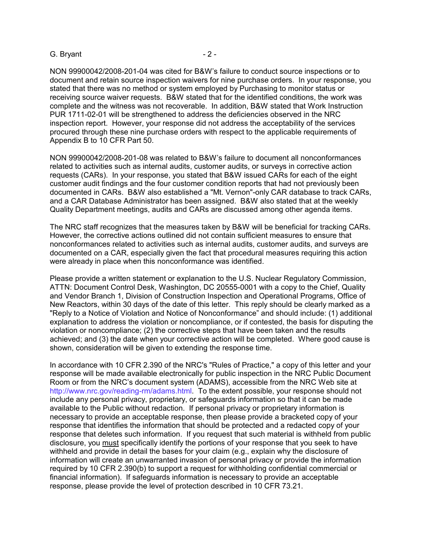## G. Bryant - 2 -

NON 99900042/2008-201-04 was cited for B&W's failure to conduct source inspections or to document and retain source inspection waivers for nine purchase orders. In your response, you stated that there was no method or system employed by Purchasing to monitor status or receiving source waiver requests. B&W stated that for the identified conditions, the work was complete and the witness was not recoverable. In addition, B&W stated that Work Instruction PUR 1711-02-01 will be strengthened to address the deficiencies observed in the NRC inspection report. However, your response did not address the acceptability of the services procured through these nine purchase orders with respect to the applicable requirements of Appendix B to 10 CFR Part 50.

NON 99900042/2008-201-08 was related to B&W's failure to document all nonconformances related to activities such as internal audits, customer audits, or surveys in corrective action requests (CARs). In your response, you stated that B&W issued CARs for each of the eight customer audit findings and the four customer condition reports that had not previously been documented in CARs. B&W also established a "Mt. Vernon"-only CAR database to track CARs, and a CAR Database Administrator has been assigned. B&W also stated that at the weekly Quality Department meetings, audits and CARs are discussed among other agenda items.

The NRC staff recognizes that the measures taken by B&W will be beneficial for tracking CARs. However, the corrective actions outlined did not contain sufficient measures to ensure that nonconformances related to activities such as internal audits, customer audits, and surveys are documented on a CAR, especially given the fact that procedural measures requiring this action were already in place when this nonconformance was identified.

Please provide a written statement or explanation to the U.S. Nuclear Regulatory Commission, ATTN: Document Control Desk, Washington, DC 20555-0001 with a copy to the Chief, Quality and Vendor Branch 1, Division of Construction Inspection and Operational Programs, Office of New Reactors, within 30 days of the date of this letter. This reply should be clearly marked as a "Reply to a Notice of Violation and Notice of Nonconformance" and should include: (1) additional explanation to address the violation or noncompliance, or if contested, the basis for disputing the violation or noncompliance; (2) the corrective steps that have been taken and the results achieved; and (3) the date when your corrective action will be completed. Where good cause is shown, consideration will be given to extending the response time.

In accordance with 10 CFR 2.390 of the NRC's "Rules of Practice," a copy of this letter and your response will be made available electronically for public inspection in the NRC Public Document Room or from the NRC's document system (ADAMS), accessible from the NRC Web site at http://www.nrc.gov/reading-rm/adams.html. To the extent possible, your response should not include any personal privacy, proprietary, or safeguards information so that it can be made available to the Public without redaction. If personal privacy or proprietary information is necessary to provide an acceptable response, then please provide a bracketed copy of your response that identifies the information that should be protected and a redacted copy of your response that deletes such information. If you request that such material is withheld from public disclosure, you must specifically identify the portions of your response that you seek to have withheld and provide in detail the bases for your claim (e.g., explain why the disclosure of information will create an unwarranted invasion of personal privacy or provide the information required by 10 CFR 2.390(b) to support a request for withholding confidential commercial or financial information). If safeguards information is necessary to provide an acceptable response, please provide the level of protection described in 10 CFR 73.21.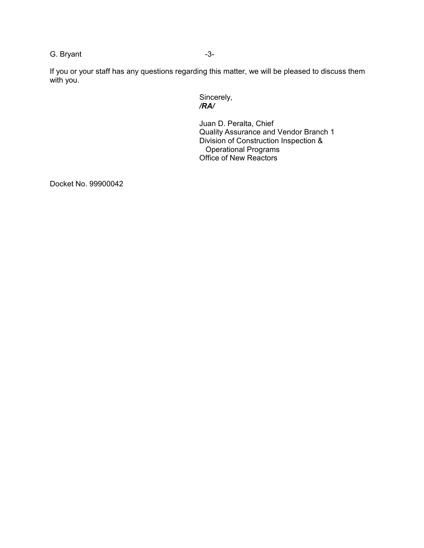G. Bryant -3-

If you or your staff has any questions regarding this matter, we will be pleased to discuss them with you.

> Sincerely,  */RA/*

Juan D. Peralta, Chief Quality Assurance and Vendor Branch 1 Division of Construction Inspection & Operational Programs Office of New Reactors

Docket No. 99900042